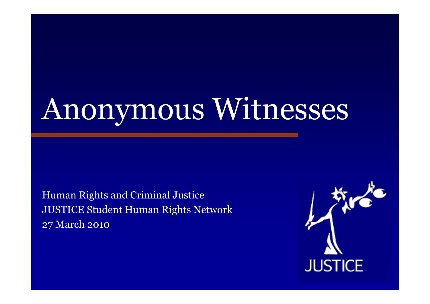# Anonymous Witnesses

Human Rights and Criminal Justice JUSTICE Student Human Rights Network 27 March 2010

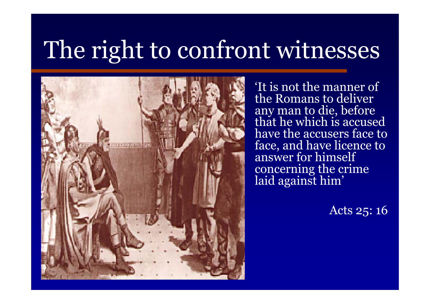

'It is not the manner of the Romans to deliver any man to die, before that he which is accused have the accusers face to face, and have licence to answer for himself concerning the crime laid against him'

Acts 25: 16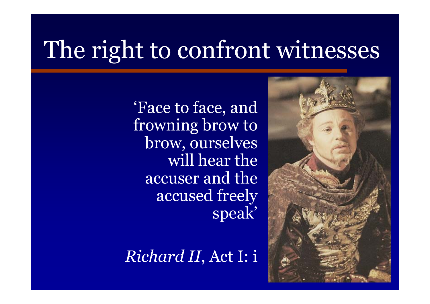

*Richard II*, Act I: i

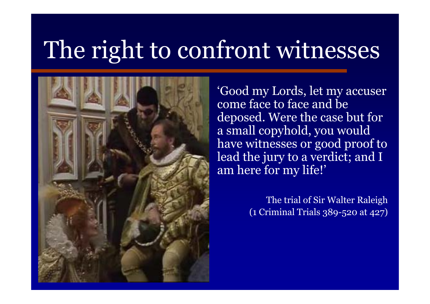

'Good my Lords, let my accuser come face to face and be deposed. Were the case but for a small copyhold, you would have witnesses or good proof to lead the jury to a verdict; and I am here for my life!'

> The trial of Sir Walter Raleigh (1 Criminal Trials 389-520 at 427)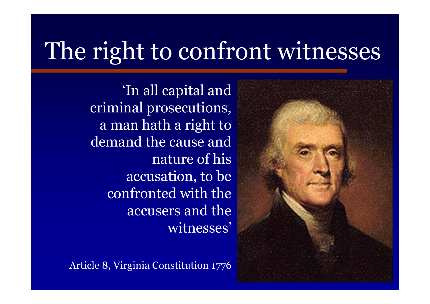'In all capital and criminal prosecutions, a man hath a right to demand the cause and nature of his accusation, to be confronted with the accusers and the witnesses'

Article 8, Virginia Constitution 1776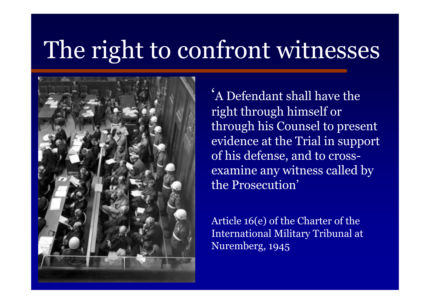

'A Defendant shall have the right through himself or through his Counsel to present evidence at the Trial in support of his defense, and to crossexamine any witness called by the Prosecution'

Article 16(e) of the Charter of the International Military Tribunal at Nuremberg, 1945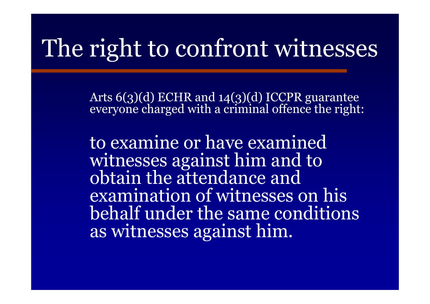Arts 6(3)(d) ECHR and 14(3)(d) ICCPR guarantee everyone charged with a criminal offence the right:

to examine or have examined witnesses against him and to obtain the attendance and examination of witnesses on his behalf under the same conditions as witnesses against him.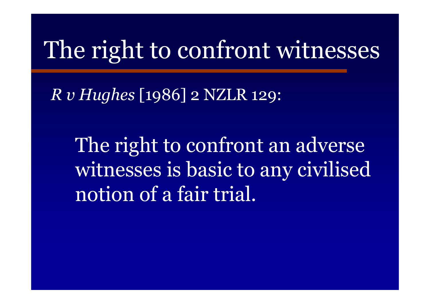*R v Hughes* [1986] 2 NZLR 129:

The right to confront an adverse witnesses is basic to any civilised notion of a fair trial.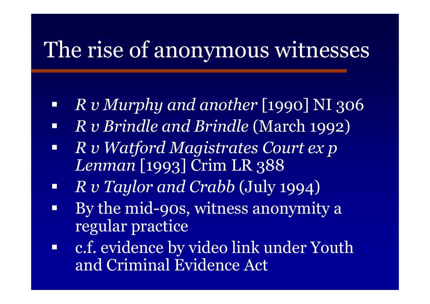- e<br>Santa *R v Murphy and another* [1990] NI 306
- $\Box$ *R v Brindle and Brindle* (March 1992)
- $\Box$  *R v Watford Magistrates Court ex p Lenman* [1993] Crim LR 388
- $\Box$ *R v Taylor and Crabb* (July 1994)
- $\Box$  By the mid-90s, witness anonymity a regular practice
- $\blacksquare$  c.f. evidence by video link under Youth and Criminal Evidence Act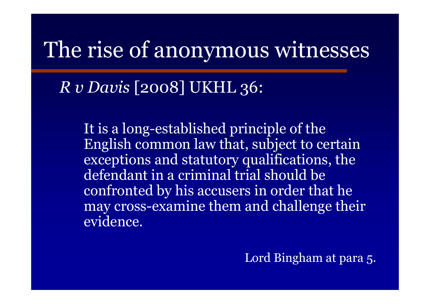*R v Davis* [2008] UKHL 36:

It is a long-established principle of the English common law that, subject to certain exceptions and statutory qualifications, the defendant in a criminal trial should be confronted by his accusers in order that he may cross-examine them and challenge their evidence.

Lord Bingham at para 5.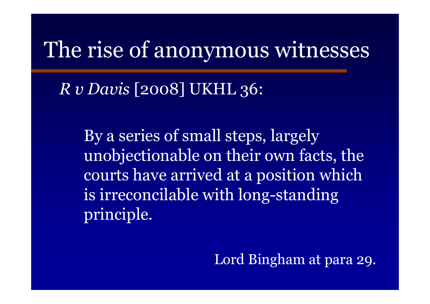*R v Davis* [2008] UKHL 36:

By a series of small steps, largely unobjectionable on their own facts, the courts have arrived at a position which is irreconcilable with long-standing principle.

Lord Bingham at para 29.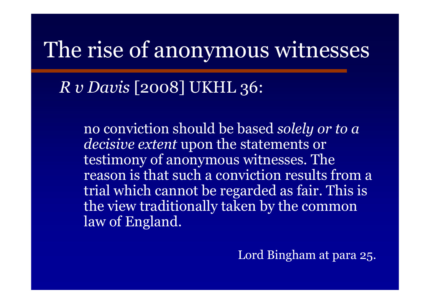*R v Davis* [2008] UKHL 36:

no conviction should be based *solely or to a decisive extent* upon the statements or testimony of anonymous witnesses. The reason is that such a conviction results from a trial which cannot be regarded as fair. This is the view traditionally taken by the common law of England.

Lord Bingham at para 25.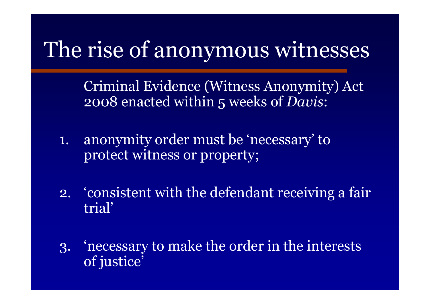Criminal Evidence (Witness Anonymity) Act 2008 enacted within 5 weeks of *Davis*:

- 1. anonymity order must be 'necessary' to protect witness or property;
- 2. 'consistent with the defendant receiving a fair trial'
- 3. 'necessary to make the order in the interests of justice'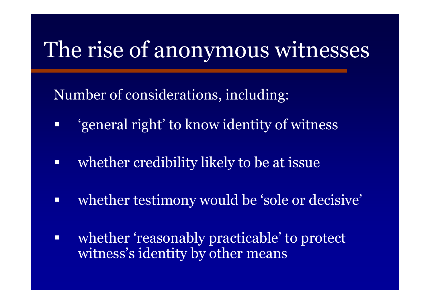Number of considerations, including:

- Ξ 'general right' to know identity of witness
- $\Box$ whether credibility likely to be at issue
- whether testimony would be 'sole or decisive'
- Ξ whether 'reasonably practicable' to protect witness's identity by other means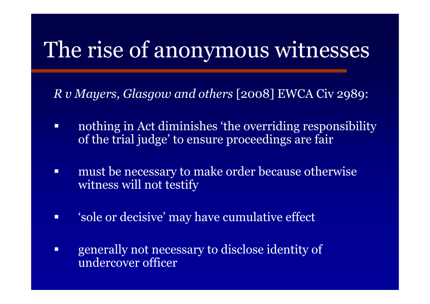*R v Mayers, Glasgow and others* [2008] EWCA Civ 2989:

- nothing in Act diminishes 'the overriding responsibility of the trial judge' to ensure proceedings are fair
- $\Box$  must be necessary to make order because otherwise witness will not testify
- 'sole or decisive' may have cumulative effect
- generally not necessary to disclose identity of undercover officer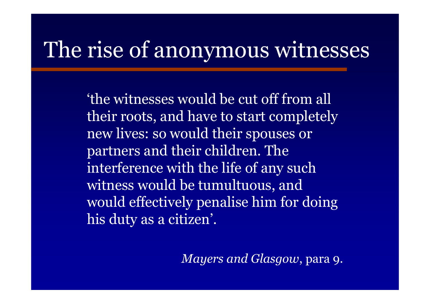'the witnesses would be cut off from all their roots, and have to start completely new lives: so would their spouses or partners and their children. The interference with the life of any such witness would be tumultuous, and would effectively penalise him for doing his duty as a citizen'.

*Mayers and Glasgow*, para 9.